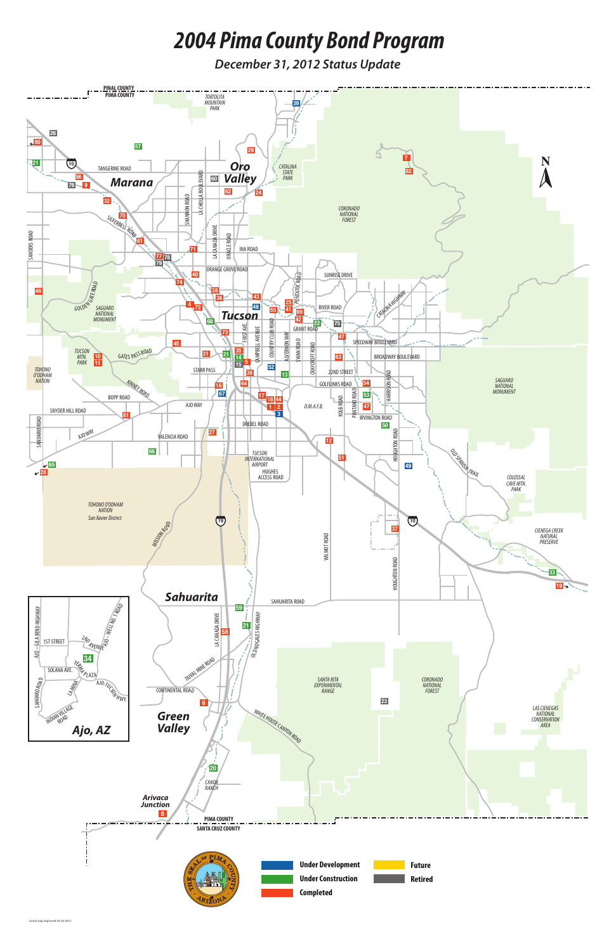

# *2004 Pima County Bond Program*

*December 31, 2012 Status Update*